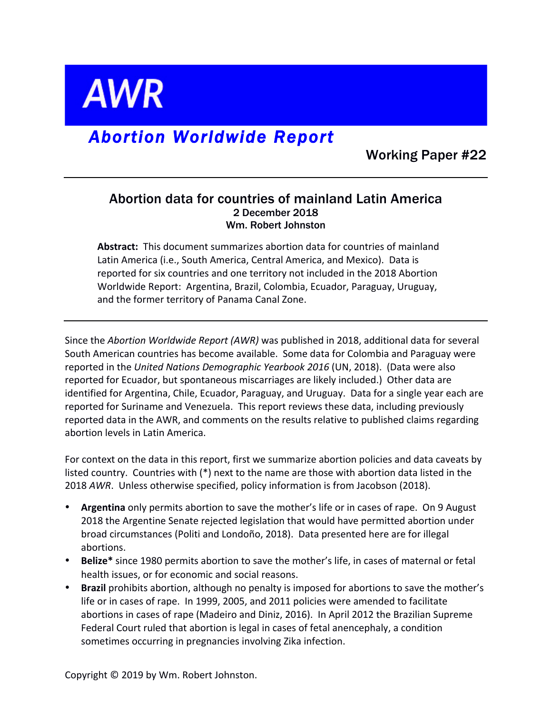

# *Abortion Worldwide Report*

Working Paper #22

# Abortion data for countries of mainland Latin America 2 December 2018 Wm. Robert Johnston

**Abstract:** This document summarizes abortion data for countries of mainland Latin America (i.e., South America, Central America, and Mexico). Data is reported for six countries and one territory not included in the 2018 Abortion Worldwide Report: Argentina, Brazil, Colombia, Ecuador, Paraguay, Uruguay, and the former territory of Panama Canal Zone.

Since the *Abortion Worldwide Report (AWR)* was published in 2018, additional data for several South American countries has become available. Some data for Colombia and Paraguay were reported in the United Nations Demographic Yearbook 2016 (UN, 2018). (Data were also reported for Ecuador, but spontaneous miscarriages are likely included.) Other data are identified for Argentina, Chile, Ecuador, Paraguay, and Uruguay. Data for a single year each are reported for Suriname and Venezuela. This report reviews these data, including previously reported data in the AWR, and comments on the results relative to published claims regarding abortion levels in Latin America.

For context on the data in this report, first we summarize abortion policies and data caveats by listed country. Countries with (\*) next to the name are those with abortion data listed in the 2018 AWR. Unless otherwise specified, policy information is from Jacobson (2018).

- **Argentina** only permits abortion to save the mother's life or in cases of rape. On 9 August 2018 the Argentine Senate rejected legislation that would have permitted abortion under broad circumstances (Politi and Londoño, 2018). Data presented here are for illegal abortions.
- Belize<sup>\*</sup> since 1980 permits abortion to save the mother's life, in cases of maternal or fetal health issues, or for economic and social reasons.
- **Brazil** prohibits abortion, although no penalty is imposed for abortions to save the mother's life or in cases of rape. In 1999, 2005, and 2011 policies were amended to facilitate abortions in cases of rape (Madeiro and Diniz, 2016). In April 2012 the Brazilian Supreme Federal Court ruled that abortion is legal in cases of fetal anencephaly, a condition sometimes occurring in pregnancies involving Zika infection.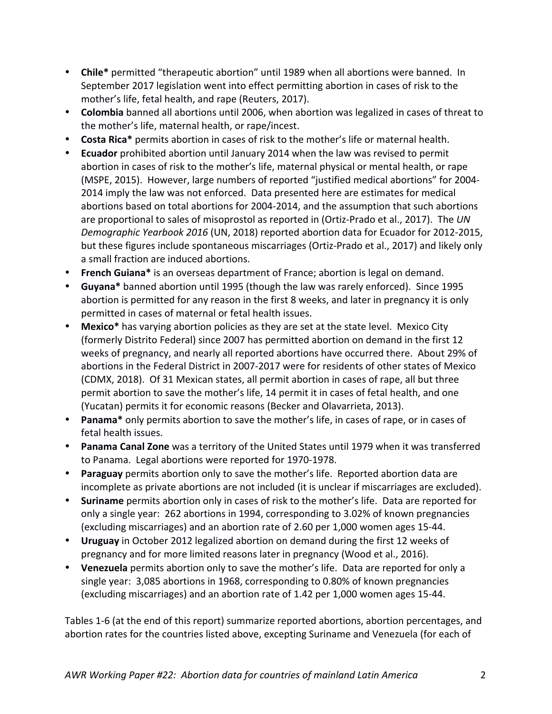- Chile\* permitted "therapeutic abortion" until 1989 when all abortions were banned. In September 2017 legislation went into effect permitting abortion in cases of risk to the mother's life, fetal health, and rape (Reuters, 2017).
- Colombia banned all abortions until 2006, when abortion was legalized in cases of threat to the mother's life, maternal health, or rape/incest.
- **Costa Rica**\* permits abortion in cases of risk to the mother's life or maternal health.
- **Ecuador** prohibited abortion until January 2014 when the law was revised to permit abortion in cases of risk to the mother's life, maternal physical or mental health, or rape (MSPE, 2015). However, large numbers of reported "justified medical abortions" for 2004-2014 imply the law was not enforced. Data presented here are estimates for medical abortions based on total abortions for 2004-2014, and the assumption that such abortions are proportional to sales of misoprostol as reported in (Ortiz-Prado et al., 2017). The UN *Demographic Yearbook 2016* (UN, 2018) reported abortion data for Ecuador for 2012-2015, but these figures include spontaneous miscarriages (Ortiz-Prado et al., 2017) and likely only a small fraction are induced abortions.
- French Guiana<sup>\*</sup> is an overseas department of France; abortion is legal on demand.
- Guyana<sup>\*</sup> banned abortion until 1995 (though the law was rarely enforced). Since 1995 abortion is permitted for any reason in the first 8 weeks, and later in pregnancy it is only permitted in cases of maternal or fetal health issues.
- **Mexico**\* has varying abortion policies as they are set at the state level. Mexico City (formerly Distrito Federal) since 2007 has permitted abortion on demand in the first 12 weeks of pregnancy, and nearly all reported abortions have occurred there. About 29% of abortions in the Federal District in 2007-2017 were for residents of other states of Mexico (CDMX, 2018). Of 31 Mexican states, all permit abortion in cases of rape, all but three permit abortion to save the mother's life, 14 permit it in cases of fetal health, and one (Yucatan) permits it for economic reasons (Becker and Olavarrieta, 2013).
- Panama<sup>\*</sup> only permits abortion to save the mother's life, in cases of rape, or in cases of fetal health issues.
- **Panama Canal Zone** was a territory of the United States until 1979 when it was transferred to Panama. Legal abortions were reported for 1970-1978.
- **Paraguay** permits abortion only to save the mother's life. Reported abortion data are incomplete as private abortions are not included (it is unclear if miscarriages are excluded).
- Suriname permits abortion only in cases of risk to the mother's life. Data are reported for only a single year: 262 abortions in 1994, corresponding to 3.02% of known pregnancies (excluding miscarriages) and an abortion rate of 2.60 per 1,000 women ages 15-44.
- Uruguay in October 2012 legalized abortion on demand during the first 12 weeks of pregnancy and for more limited reasons later in pregnancy (Wood et al., 2016).
- Venezuela permits abortion only to save the mother's life. Data are reported for only a single year:  $3,085$  abortions in 1968, corresponding to 0.80% of known pregnancies (excluding miscarriages) and an abortion rate of 1.42 per 1,000 women ages 15-44.

Tables 1-6 (at the end of this report) summarize reported abortions, abortion percentages, and abortion rates for the countries listed above, excepting Suriname and Venezuela (for each of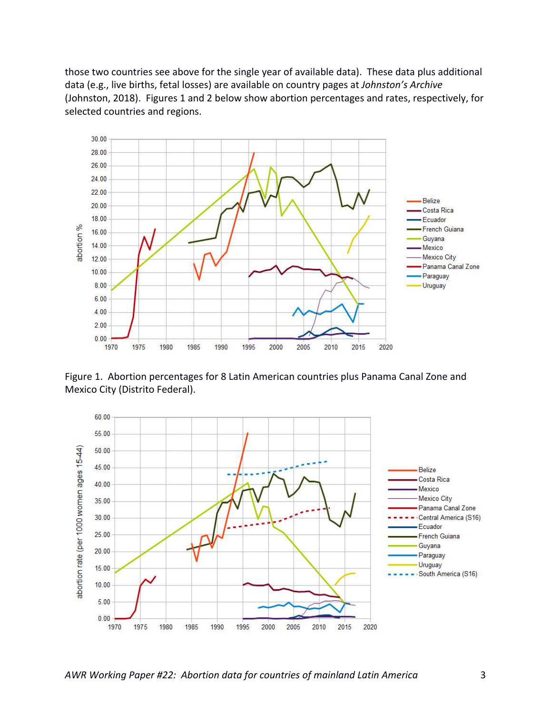those two countries see above for the single year of available data). These data plus additional data (e.g., live births, fetal losses) are available on country pages at *Johnston's Archive* (Johnston, 2018). Figures 1 and 2 below show abortion percentages and rates, respectively, for selected countries and regions.



Figure 1. Abortion percentages for 8 Latin American countries plus Panama Canal Zone and Mexico City (Distrito Federal).

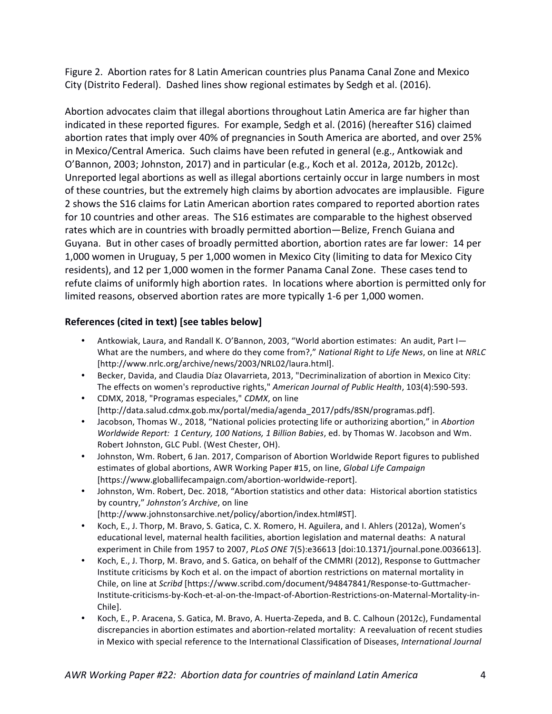Figure 2. Abortion rates for 8 Latin American countries plus Panama Canal Zone and Mexico City (Distrito Federal). Dashed lines show regional estimates by Sedgh et al. (2016).

Abortion advocates claim that illegal abortions throughout Latin America are far higher than indicated in these reported figures. For example, Sedgh et al. (2016) (hereafter S16) claimed abortion rates that imply over 40% of pregnancies in South America are aborted, and over 25% in Mexico/Central America. Such claims have been refuted in general (e.g., Antkowiak and  $O'$ Bannon, 2003; Johnston, 2017) and in particular (e.g., Koch et al. 2012a, 2012b, 2012c). Unreported legal abortions as well as illegal abortions certainly occur in large numbers in most of these countries, but the extremely high claims by abortion advocates are implausible. Figure 2 shows the S16 claims for Latin American abortion rates compared to reported abortion rates for 10 countries and other areas. The S16 estimates are comparable to the highest observed rates which are in countries with broadly permitted abortion—Belize, French Guiana and Guyana. But in other cases of broadly permitted abortion, abortion rates are far lower: 14 per 1,000 women in Uruguay, 5 per 1,000 women in Mexico City (limiting to data for Mexico City residents), and 12 per 1,000 women in the former Panama Canal Zone. These cases tend to refute claims of uniformly high abortion rates. In locations where abortion is permitted only for limited reasons, observed abortion rates are more typically 1-6 per 1,000 women.

#### **References (cited in text) [see tables below]**

- Antkowiak, Laura, and Randall K. O'Bannon, 2003, "World abortion estimates: An audit, Part I-What are the numbers, and where do they come from?," *National Right to Life News*, on line at *NRLC* [http://www.nrlc.org/archive/news/2003/NRL02/laura.html].
- Becker, Davida, and Claudia Díaz Olavarrieta, 2013, "Decriminalization of abortion in Mexico City: The effects on women's reproductive rights," American Journal of Public Health, 103(4):590-593.
- CDMX, 2018, "Programas especiales," *CDMX*, on line [http://data.salud.cdmx.gob.mx/portal/media/agenda\_2017/pdfs/8SN/programas.pdf].
- Jacobson, Thomas W., 2018, "National policies protecting life or authorizing abortion," in *Abortion Worldwide Report: 1 Century, 100 Nations, 1 Billion Babies, ed.* by Thomas W. Jacobson and Wm. Robert Johnston, GLC Publ. (West Chester, OH).
- Johnston, Wm. Robert, 6 Jan. 2017, Comparison of Abortion Worldwide Report figures to published estimates of global abortions, AWR Working Paper #15, on line, *Global Life Campaign* [https://www.globallifecampaign.com/abortion-worldwide-report].
- Johnston, Wm. Robert, Dec. 2018, "Abortion statistics and other data: Historical abortion statistics by country," Johnston's Archive, on line [http://www.johnstonsarchive.net/policy/abortion/index.html#ST].
- Koch, E., J. Thorp, M. Bravo, S. Gatica, C. X. Romero, H. Aguilera, and I. Ahlers (2012a), Women's educational level, maternal health facilities, abortion legislation and maternal deaths: A natural experiment in Chile from 1957 to 2007, *PLoS ONE* 7(5):e36613 [doi:10.1371/journal.pone.0036613].
- Koch, E., J. Thorp, M. Bravo, and S. Gatica, on behalf of the CMMRI (2012), Response to Guttmacher Institute criticisms by Koch et al. on the impact of abortion restrictions on maternal mortality in Chile, on line at *Scribd* [https://www.scribd.com/document/94847841/Response-to-Guttmacher-Institute-criticisms-by-Koch-et-al-on-the-Impact-of-Abortion-Restrictions-on-Maternal-Mortality-in-Chile].
- Koch, E., P. Aracena, S. Gatica, M. Bravo, A. Huerta-Zepeda, and B. C. Calhoun (2012c), Fundamental discrepancies in abortion estimates and abortion-related mortality: A reevaluation of recent studies in Mexico with special reference to the International Classification of Diseases, *International Journal*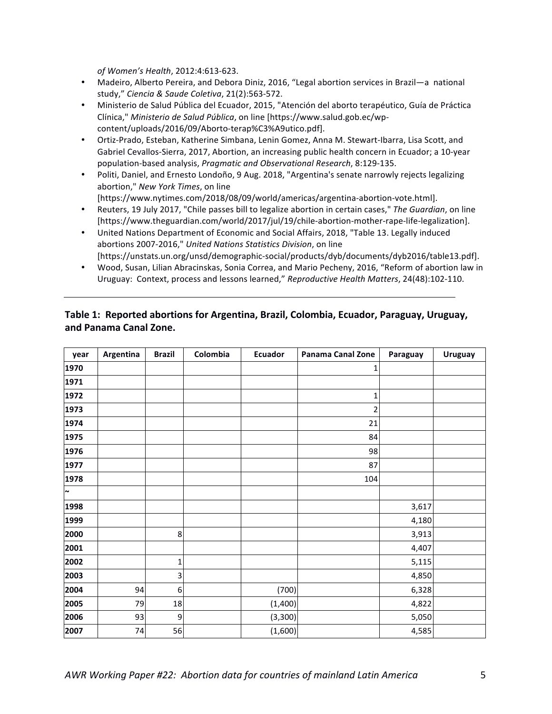*of Women's Health*, 2012:4:613-623.

- Madeiro, Alberto Pereira, and Debora Diniz, 2016, "Legal abortion services in Brazil—a national study," *Ciencia & Saude Coletiva*, 21(2):563-572.
- Ministerio de Salud Pública del Ecuador, 2015, "Atención del aborto terapéutico, Guía de Práctica Clínica," *Ministerio de Salud Pública*, on line [https://www.salud.gob.ec/wpcontent/uploads/2016/09/Aborto-terap%C3%A9utico.pdf].
- Ortiz-Prado, Esteban, Katherine Simbana, Lenin Gomez, Anna M. Stewart-Ibarra, Lisa Scott, and Gabriel Cevallos-Sierra, 2017, Abortion, an increasing public health concern in Ecuador; a 10-year population-based analysis, *Pragmatic and Observational Research*, 8:129-135.
- Politi, Daniel, and Ernesto Londoño, 9 Aug. 2018, "Argentina's senate narrowly rejects legalizing abortion," New York Times, on line [https://www.nytimes.com/2018/08/09/world/americas/argentina-abortion-vote.html].
- Reuters, 19 July 2017, "Chile passes bill to legalize abortion in certain cases," The Guardian, on line [https://www.theguardian.com/world/2017/jul/19/chile-abortion-mother-rape-life-legalization].
- United Nations Department of Economic and Social Affairs, 2018, "Table 13. Legally induced abortions 2007-2016," United Nations Statistics Division, on line [https://unstats.un.org/unsd/demographic-social/products/dyb/documents/dyb2016/table13.pdf].
- Wood, Susan, Lilian Abracinskas, Sonia Correa, and Mario Pecheny, 2016, "Reform of abortion law in Uruguay: Context, process and lessons learned," Reproductive Health Matters, 24(48):102-110.

| year   | Argentina | <b>Brazil</b> | Colombia | <b>Ecuador</b> | Panama Canal Zone | Paraguay | <b>Uruguay</b> |
|--------|-----------|---------------|----------|----------------|-------------------|----------|----------------|
| 1970   |           |               |          |                | 1                 |          |                |
| 1971   |           |               |          |                |                   |          |                |
| 1972   |           |               |          |                | 1                 |          |                |
| 1973   |           |               |          |                | 2                 |          |                |
| 1974   |           |               |          |                | 21                |          |                |
| 1975   |           |               |          |                | 84                |          |                |
| 1976   |           |               |          |                | 98                |          |                |
| 1977   |           |               |          |                | 87                |          |                |
| 1978   |           |               |          |                | 104               |          |                |
| $\sim$ |           |               |          |                |                   |          |                |
| 1998   |           |               |          |                |                   | 3,617    |                |
| 1999   |           |               |          |                |                   | 4,180    |                |
| 2000   |           | 8             |          |                |                   | 3,913    |                |
| 2001   |           |               |          |                |                   | 4,407    |                |
| 2002   |           | $\mathbf 1$   |          |                |                   | 5,115    |                |
| 2003   |           | 3             |          |                |                   | 4,850    |                |
| 2004   | 94        | 6             |          | (700)          |                   | 6,328    |                |
| 2005   | 79        | 18            |          | (1,400)        |                   | 4,822    |                |
| 2006   | 93        | 9             |          | (3,300)        |                   | 5,050    |                |
| 2007   | 74        | 56            |          | (1,600)        |                   | 4,585    |                |

## Table 1: Reported abortions for Argentina, Brazil, Colombia, Ecuador, Paraguay, Uruguay, **and Panama Canal Zone.**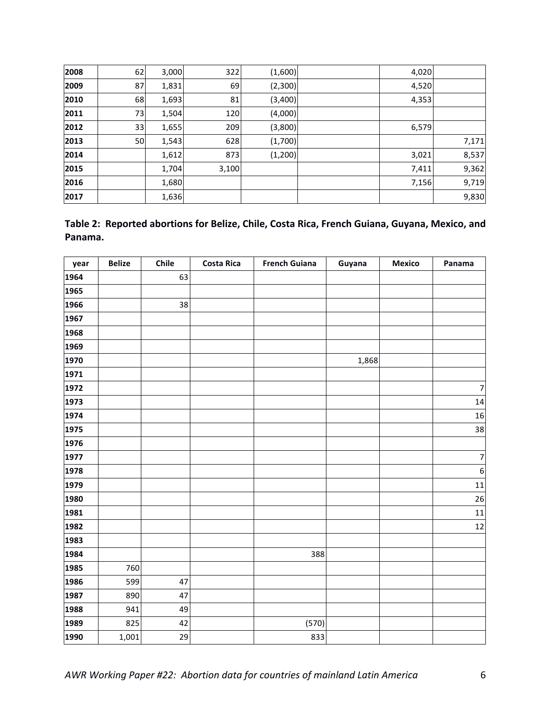| 2008 | 62 | 3,000 | 322   | (1,600)  | 4,020 |       |
|------|----|-------|-------|----------|-------|-------|
| 2009 | 87 | 1,831 | 69    | (2,300)  | 4,520 |       |
| 2010 | 68 | 1,693 | 81    | (3,400)  | 4,353 |       |
| 2011 | 73 | 1,504 | 120   | (4,000)  |       |       |
| 2012 | 33 | 1,655 | 209   | (3,800)  | 6,579 |       |
| 2013 | 50 | 1,543 | 628   | (1,700)  |       | 7,171 |
| 2014 |    | 1,612 | 873   | (1, 200) | 3,021 | 8,537 |
| 2015 |    | 1,704 | 3,100 |          | 7,411 | 9,362 |
| 2016 |    | 1,680 |       |          | 7,156 | 9,719 |
| 2017 |    | 1,636 |       |          |       | 9,830 |

|         | Table 2: Reported abortions for Belize, Chile, Costa Rica, French Guiana, Guyana, Mexico, and |  |  |  |
|---------|-----------------------------------------------------------------------------------------------|--|--|--|
| Panama. |                                                                                               |  |  |  |

| year | <b>Belize</b> | Chile | <b>Costa Rica</b> | <b>French Guiana</b> | Guyana | <b>Mexico</b> | Panama           |
|------|---------------|-------|-------------------|----------------------|--------|---------------|------------------|
| 1964 |               | 63    |                   |                      |        |               |                  |
| 1965 |               |       |                   |                      |        |               |                  |
| 1966 |               | 38    |                   |                      |        |               |                  |
| 1967 |               |       |                   |                      |        |               |                  |
| 1968 |               |       |                   |                      |        |               |                  |
| 1969 |               |       |                   |                      |        |               |                  |
| 1970 |               |       |                   |                      | 1,868  |               |                  |
| 1971 |               |       |                   |                      |        |               |                  |
| 1972 |               |       |                   |                      |        |               | $\overline{7}$   |
| 1973 |               |       |                   |                      |        |               | 14               |
| 1974 |               |       |                   |                      |        |               | 16               |
| 1975 |               |       |                   |                      |        |               | 38               |
| 1976 |               |       |                   |                      |        |               |                  |
| 1977 |               |       |                   |                      |        |               | $\overline{7}$   |
| 1978 |               |       |                   |                      |        |               | $\boldsymbol{6}$ |
| 1979 |               |       |                   |                      |        |               | 11               |
| 1980 |               |       |                   |                      |        |               | 26               |
| 1981 |               |       |                   |                      |        |               | $11\,$           |
| 1982 |               |       |                   |                      |        |               | 12               |
| 1983 |               |       |                   |                      |        |               |                  |
| 1984 |               |       |                   | 388                  |        |               |                  |
| 1985 | 760           |       |                   |                      |        |               |                  |
| 1986 | 599           | 47    |                   |                      |        |               |                  |
| 1987 | 890           | 47    |                   |                      |        |               |                  |
| 1988 | 941           | 49    |                   |                      |        |               |                  |
| 1989 | 825           | 42    |                   | (570)                |        |               |                  |
| 1990 | 1,001         | 29    |                   | 833                  |        |               |                  |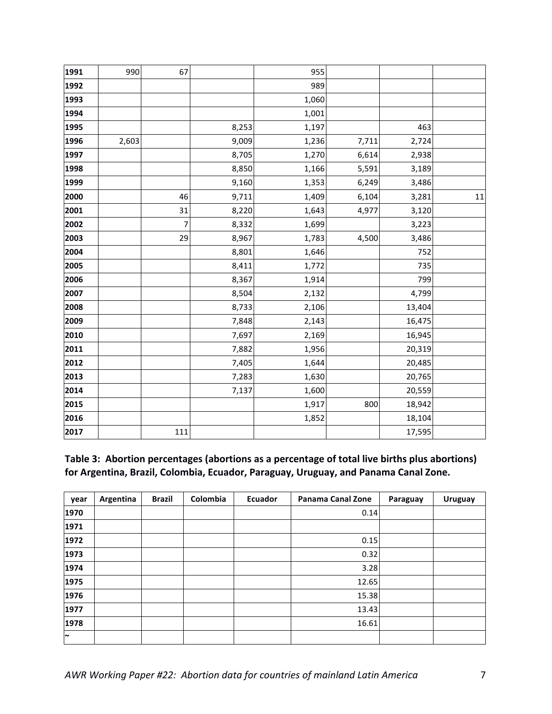| 1991 | 990   | 67             |       | 955   |       |        |    |
|------|-------|----------------|-------|-------|-------|--------|----|
| 1992 |       |                |       | 989   |       |        |    |
| 1993 |       |                |       | 1,060 |       |        |    |
| 1994 |       |                |       | 1,001 |       |        |    |
| 1995 |       |                | 8,253 | 1,197 |       | 463    |    |
| 1996 | 2,603 |                | 9,009 | 1,236 | 7,711 | 2,724  |    |
| 1997 |       |                | 8,705 | 1,270 | 6,614 | 2,938  |    |
| 1998 |       |                | 8,850 | 1,166 | 5,591 | 3,189  |    |
| 1999 |       |                | 9,160 | 1,353 | 6,249 | 3,486  |    |
| 2000 |       | 46             | 9,711 | 1,409 | 6,104 | 3,281  | 11 |
| 2001 |       | 31             | 8,220 | 1,643 | 4,977 | 3,120  |    |
| 2002 |       | $\overline{7}$ | 8,332 | 1,699 |       | 3,223  |    |
| 2003 |       | 29             | 8,967 | 1,783 | 4,500 | 3,486  |    |
| 2004 |       |                | 8,801 | 1,646 |       | 752    |    |
| 2005 |       |                | 8,411 | 1,772 |       | 735    |    |
| 2006 |       |                | 8,367 | 1,914 |       | 799    |    |
| 2007 |       |                | 8,504 | 2,132 |       | 4,799  |    |
| 2008 |       |                | 8,733 | 2,106 |       | 13,404 |    |
| 2009 |       |                | 7,848 | 2,143 |       | 16,475 |    |
| 2010 |       |                | 7,697 | 2,169 |       | 16,945 |    |
| 2011 |       |                | 7,882 | 1,956 |       | 20,319 |    |
| 2012 |       |                | 7,405 | 1,644 |       | 20,485 |    |
| 2013 |       |                | 7,283 | 1,630 |       | 20,765 |    |
| 2014 |       |                | 7,137 | 1,600 |       | 20,559 |    |
| 2015 |       |                |       | 1,917 | 800   | 18,942 |    |
| 2016 |       |                |       | 1,852 |       | 18,104 |    |
| 2017 |       | 111            |       |       |       | 17,595 |    |

Table 3: Abortion percentages (abortions as a percentage of total live births plus abortions) for Argentina, Brazil, Colombia, Ecuador, Paraguay, Uruguay, and Panama Canal Zone.

| year   | Argentina | <b>Brazil</b> | Colombia | Ecuador | <b>Panama Canal Zone</b> | Paraguay | <b>Uruguay</b> |
|--------|-----------|---------------|----------|---------|--------------------------|----------|----------------|
| 1970   |           |               |          |         | 0.14                     |          |                |
| 1971   |           |               |          |         |                          |          |                |
| 1972   |           |               |          |         | 0.15                     |          |                |
| 1973   |           |               |          |         | 0.32                     |          |                |
| 1974   |           |               |          |         | 3.28                     |          |                |
| 1975   |           |               |          |         | 12.65                    |          |                |
| 1976   |           |               |          |         | 15.38                    |          |                |
| 1977   |           |               |          |         | 13.43                    |          |                |
| 1978   |           |               |          |         | 16.61                    |          |                |
| $\sim$ |           |               |          |         |                          |          |                |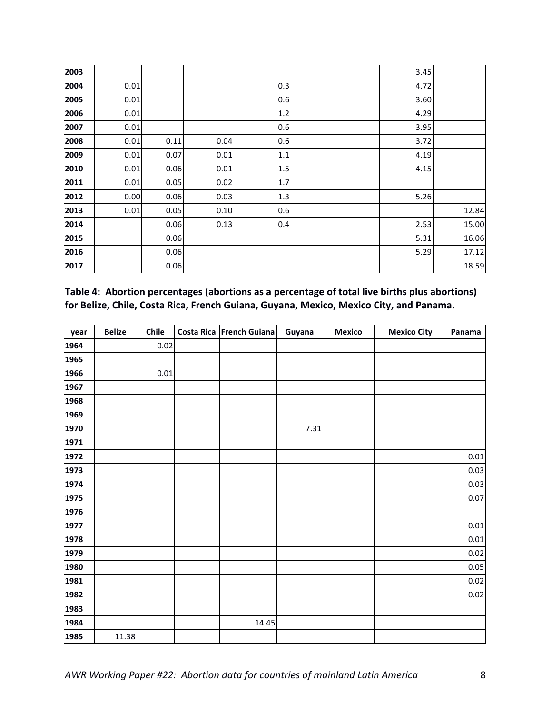| 2003 |      |      |      |         | 3.45 |       |
|------|------|------|------|---------|------|-------|
| 2004 | 0.01 |      |      | 0.3     | 4.72 |       |
| 2005 | 0.01 |      |      | 0.6     | 3.60 |       |
| 2006 | 0.01 |      |      | 1.2     | 4.29 |       |
| 2007 | 0.01 |      |      | 0.6     | 3.95 |       |
| 2008 | 0.01 | 0.11 | 0.04 | 0.6     | 3.72 |       |
| 2009 | 0.01 | 0.07 | 0.01 | $1.1\,$ | 4.19 |       |
| 2010 | 0.01 | 0.06 | 0.01 | 1.5     | 4.15 |       |
| 2011 | 0.01 | 0.05 | 0.02 | 1.7     |      |       |
| 2012 | 0.00 | 0.06 | 0.03 | $1.3\,$ | 5.26 |       |
| 2013 | 0.01 | 0.05 | 0.10 | 0.6     |      | 12.84 |
| 2014 |      | 0.06 | 0.13 | 0.4     | 2.53 | 15.00 |
| 2015 |      | 0.06 |      |         | 5.31 | 16.06 |
| 2016 |      | 0.06 |      |         | 5.29 | 17.12 |
| 2017 |      | 0.06 |      |         |      | 18.59 |

Table 4: Abortion percentages (abortions as a percentage of total live births plus abortions) for Belize, Chile, Costa Rica, French Guiana, Guyana, Mexico, Mexico City, and Panama.

| year | <b>Belize</b> | Chile    | Costa Rica French Guiana | Guyana | <b>Mexico</b> | <b>Mexico City</b> | Panama   |
|------|---------------|----------|--------------------------|--------|---------------|--------------------|----------|
| 1964 |               | 0.02     |                          |        |               |                    |          |
| 1965 |               |          |                          |        |               |                    |          |
| 1966 |               | $0.01\,$ |                          |        |               |                    |          |
| 1967 |               |          |                          |        |               |                    |          |
| 1968 |               |          |                          |        |               |                    |          |
| 1969 |               |          |                          |        |               |                    |          |
| 1970 |               |          |                          | 7.31   |               |                    |          |
| 1971 |               |          |                          |        |               |                    |          |
| 1972 |               |          |                          |        |               |                    | 0.01     |
| 1973 |               |          |                          |        |               |                    | 0.03     |
| 1974 |               |          |                          |        |               |                    | 0.03     |
| 1975 |               |          |                          |        |               |                    | 0.07     |
| 1976 |               |          |                          |        |               |                    |          |
| 1977 |               |          |                          |        |               |                    | $0.01\,$ |
| 1978 |               |          |                          |        |               |                    | 0.01     |
| 1979 |               |          |                          |        |               |                    | 0.02     |
| 1980 |               |          |                          |        |               |                    | 0.05     |
| 1981 |               |          |                          |        |               |                    | 0.02     |
| 1982 |               |          |                          |        |               |                    | 0.02     |
| 1983 |               |          |                          |        |               |                    |          |
| 1984 |               |          | 14.45                    |        |               |                    |          |
| 1985 | 11.38         |          |                          |        |               |                    |          |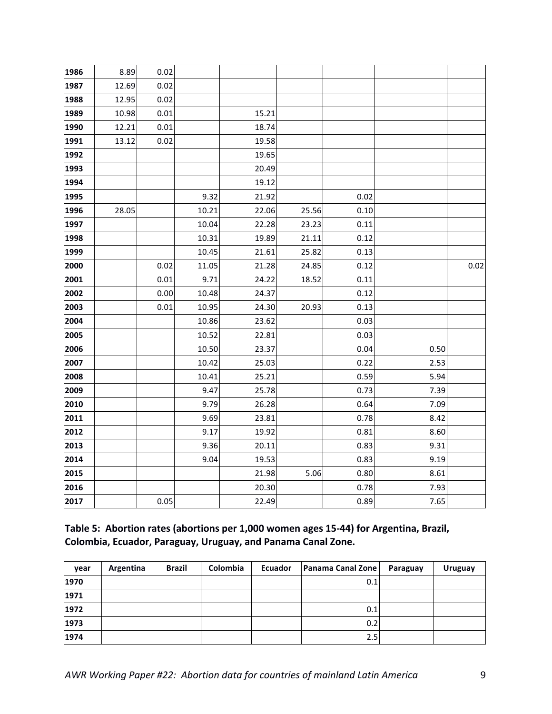| 1986 | 8.89  | 0.02     |       |       |       |      |      |      |
|------|-------|----------|-------|-------|-------|------|------|------|
| 1987 | 12.69 | 0.02     |       |       |       |      |      |      |
| 1988 | 12.95 | 0.02     |       |       |       |      |      |      |
| 1989 | 10.98 | 0.01     |       | 15.21 |       |      |      |      |
| 1990 | 12.21 | 0.01     |       | 18.74 |       |      |      |      |
| 1991 | 13.12 | 0.02     |       | 19.58 |       |      |      |      |
| 1992 |       |          |       | 19.65 |       |      |      |      |
| 1993 |       |          |       | 20.49 |       |      |      |      |
| 1994 |       |          |       | 19.12 |       |      |      |      |
| 1995 |       |          | 9.32  | 21.92 |       | 0.02 |      |      |
| 1996 | 28.05 |          | 10.21 | 22.06 | 25.56 | 0.10 |      |      |
| 1997 |       |          | 10.04 | 22.28 | 23.23 | 0.11 |      |      |
| 1998 |       |          | 10.31 | 19.89 | 21.11 | 0.12 |      |      |
| 1999 |       |          | 10.45 | 21.61 | 25.82 | 0.13 |      |      |
| 2000 |       | 0.02     | 11.05 | 21.28 | 24.85 | 0.12 |      | 0.02 |
| 2001 |       | 0.01     | 9.71  | 24.22 | 18.52 | 0.11 |      |      |
| 2002 |       | 0.00     | 10.48 | 24.37 |       | 0.12 |      |      |
| 2003 |       | $0.01\,$ | 10.95 | 24.30 | 20.93 | 0.13 |      |      |
| 2004 |       |          | 10.86 | 23.62 |       | 0.03 |      |      |
| 2005 |       |          | 10.52 | 22.81 |       | 0.03 |      |      |
| 2006 |       |          | 10.50 | 23.37 |       | 0.04 | 0.50 |      |
| 2007 |       |          | 10.42 | 25.03 |       | 0.22 | 2.53 |      |
| 2008 |       |          | 10.41 | 25.21 |       | 0.59 | 5.94 |      |
| 2009 |       |          | 9.47  | 25.78 |       | 0.73 | 7.39 |      |
| 2010 |       |          | 9.79  | 26.28 |       | 0.64 | 7.09 |      |
| 2011 |       |          | 9.69  | 23.81 |       | 0.78 | 8.42 |      |
| 2012 |       |          | 9.17  | 19.92 |       | 0.81 | 8.60 |      |
| 2013 |       |          | 9.36  | 20.11 |       | 0.83 | 9.31 |      |
| 2014 |       |          | 9.04  | 19.53 |       | 0.83 | 9.19 |      |
| 2015 |       |          |       | 21.98 | 5.06  | 0.80 | 8.61 |      |
| 2016 |       |          |       | 20.30 |       | 0.78 | 7.93 |      |
| 2017 |       | 0.05     |       | 22.49 |       | 0.89 | 7.65 |      |

Table 5: Abortion rates (abortions per 1,000 women ages 15-44) for Argentina, Brazil, Colombia, Ecuador, Paraguay, Uruguay, and Panama Canal Zone.

| year | Argentina | <b>Brazil</b> | Colombia | Ecuador | Panama Canal Zone | Paraguay | <b>Uruguay</b> |
|------|-----------|---------------|----------|---------|-------------------|----------|----------------|
| 1970 |           |               |          |         | 0.1               |          |                |
| 1971 |           |               |          |         |                   |          |                |
| 1972 |           |               |          |         | 0.1               |          |                |
| 1973 |           |               |          |         | 0.2               |          |                |
| 1974 |           |               |          |         | 2.5               |          |                |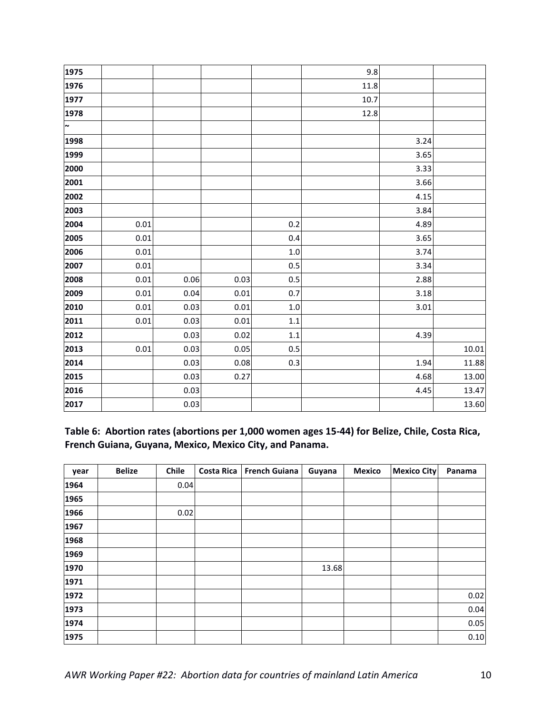|          |      |      |         | 9.8  |      |              |
|----------|------|------|---------|------|------|--------------|
|          |      |      |         | 11.8 |      |              |
|          |      |      |         | 10.7 |      |              |
|          |      |      |         | 12.8 |      |              |
|          |      |      |         |      |      |              |
|          |      |      |         |      | 3.24 |              |
|          |      |      |         |      | 3.65 |              |
|          |      |      |         |      | 3.33 |              |
|          |      |      |         |      | 3.66 |              |
|          |      |      |         |      | 4.15 |              |
|          |      |      |         |      | 3.84 |              |
| 0.01     |      |      | $0.2\,$ |      | 4.89 |              |
| 0.01     |      |      | 0.4     |      | 3.65 |              |
| 0.01     |      |      | $1.0\,$ |      | 3.74 |              |
| 0.01     |      |      | 0.5     |      | 3.34 |              |
| 0.01     | 0.06 | 0.03 | 0.5     |      |      |              |
| 0.01     | 0.04 | 0.01 | 0.7     |      |      |              |
| 0.01     | 0.03 | 0.01 | $1.0\,$ |      | 3.01 |              |
| $0.01\,$ | 0.03 | 0.01 | $1.1\,$ |      |      |              |
|          | 0.03 | 0.02 | $1.1\,$ |      | 4.39 |              |
| 0.01     | 0.03 | 0.05 | 0.5     |      |      | 10.01        |
|          | 0.03 | 0.08 | 0.3     |      | 1.94 | 11.88        |
|          | 0.03 | 0.27 |         |      | 4.68 | 13.00        |
|          | 0.03 |      |         |      | 4.45 | 13.47        |
|          | 0.03 |      |         |      |      | 13.60        |
|          |      |      |         |      |      | 2.88<br>3.18 |

Table 6: Abortion rates (abortions per 1,000 women ages 15-44) for Belize, Chile, Costa Rica, French Guiana, Guyana, Mexico, Mexico City, and Panama.

| year | <b>Belize</b> | Chile | <b>Costa Rica</b> | <b>French Guiana</b> | Guyana | <b>Mexico</b> | <b>Mexico City</b> | Panama |
|------|---------------|-------|-------------------|----------------------|--------|---------------|--------------------|--------|
| 1964 |               | 0.04  |                   |                      |        |               |                    |        |
| 1965 |               |       |                   |                      |        |               |                    |        |
| 1966 |               | 0.02  |                   |                      |        |               |                    |        |
| 1967 |               |       |                   |                      |        |               |                    |        |
| 1968 |               |       |                   |                      |        |               |                    |        |
| 1969 |               |       |                   |                      |        |               |                    |        |
| 1970 |               |       |                   |                      | 13.68  |               |                    |        |
| 1971 |               |       |                   |                      |        |               |                    |        |
| 1972 |               |       |                   |                      |        |               |                    | 0.02   |
| 1973 |               |       |                   |                      |        |               |                    | 0.04   |
| 1974 |               |       |                   |                      |        |               |                    | 0.05   |
| 1975 |               |       |                   |                      |        |               |                    | 0.10   |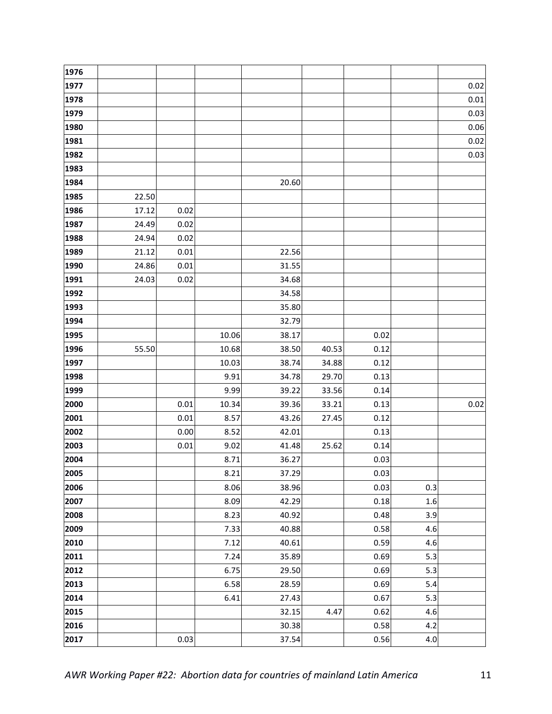| 1976 |       |      |       |       |       |      |     |      |
|------|-------|------|-------|-------|-------|------|-----|------|
| 1977 |       |      |       |       |       |      |     | 0.02 |
| 1978 |       |      |       |       |       |      |     | 0.01 |
| 1979 |       |      |       |       |       |      |     | 0.03 |
| 1980 |       |      |       |       |       |      |     | 0.06 |
| 1981 |       |      |       |       |       |      |     | 0.02 |
| 1982 |       |      |       |       |       |      |     | 0.03 |
| 1983 |       |      |       |       |       |      |     |      |
| 1984 |       |      |       | 20.60 |       |      |     |      |
| 1985 | 22.50 |      |       |       |       |      |     |      |
| 1986 | 17.12 | 0.02 |       |       |       |      |     |      |
| 1987 | 24.49 | 0.02 |       |       |       |      |     |      |
| 1988 | 24.94 | 0.02 |       |       |       |      |     |      |
| 1989 | 21.12 | 0.01 |       | 22.56 |       |      |     |      |
| 1990 | 24.86 | 0.01 |       | 31.55 |       |      |     |      |
| 1991 | 24.03 | 0.02 |       | 34.68 |       |      |     |      |
| 1992 |       |      |       | 34.58 |       |      |     |      |
| 1993 |       |      |       | 35.80 |       |      |     |      |
| 1994 |       |      |       | 32.79 |       |      |     |      |
| 1995 |       |      | 10.06 | 38.17 |       | 0.02 |     |      |
| 1996 | 55.50 |      | 10.68 | 38.50 | 40.53 | 0.12 |     |      |
| 1997 |       |      | 10.03 | 38.74 | 34.88 | 0.12 |     |      |
| 1998 |       |      | 9.91  | 34.78 | 29.70 | 0.13 |     |      |
| 1999 |       |      | 9.99  | 39.22 | 33.56 | 0.14 |     |      |
| 2000 |       | 0.01 | 10.34 | 39.36 | 33.21 | 0.13 |     | 0.02 |
| 2001 |       | 0.01 | 8.57  | 43.26 | 27.45 | 0.12 |     |      |
| 2002 |       | 0.00 | 8.52  | 42.01 |       | 0.13 |     |      |
| 2003 |       | 0.01 | 9.02  | 41.48 | 25.62 | 0.14 |     |      |
| 2004 |       |      | 8.71  | 36.27 |       | 0.03 |     |      |
| 2005 |       |      | 8.21  | 37.29 |       | 0.03 |     |      |
| 2006 |       |      | 8.06  | 38.96 |       | 0.03 | 0.3 |      |
| 2007 |       |      | 8.09  | 42.29 |       | 0.18 | 1.6 |      |
| 2008 |       |      | 8.23  | 40.92 |       | 0.48 | 3.9 |      |
| 2009 |       |      | 7.33  | 40.88 |       | 0.58 | 4.6 |      |
| 2010 |       |      | 7.12  | 40.61 |       | 0.59 | 4.6 |      |
| 2011 |       |      | 7.24  | 35.89 |       | 0.69 | 5.3 |      |
| 2012 |       |      | 6.75  | 29.50 |       | 0.69 | 5.3 |      |
| 2013 |       |      | 6.58  | 28.59 |       | 0.69 | 5.4 |      |
| 2014 |       |      | 6.41  | 27.43 |       | 0.67 | 5.3 |      |
| 2015 |       |      |       | 32.15 | 4.47  | 0.62 | 4.6 |      |
| 2016 |       |      |       | 30.38 |       | 0.58 | 4.2 |      |
| 2017 |       | 0.03 |       | 37.54 |       | 0.56 | 4.0 |      |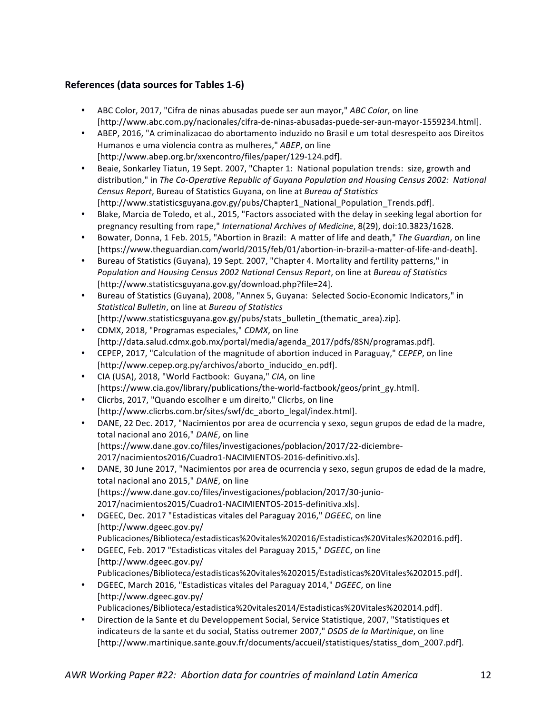## **References (data sources for Tables 1-6)**

- ABC Color, 2017, "Cifra de ninas abusadas puede ser aun mayor," *ABC Color*, on line [http://www.abc.com.py/nacionales/cifra-de-ninas-abusadas-puede-ser-aun-mayor-1559234.html].
- ABEP, 2016, "A criminalizacao do abortamento induzido no Brasil e um total desrespeito aos Direitos Humanos e uma violencia contra as mulheres," ABEP, on line [http://www.abep.org.br/xxencontro/files/paper/129-124.pdf].
- Beaie, Sonkarley Tiatun, 19 Sept. 2007, "Chapter 1: National population trends: size, growth and distribution," in *The Co-Operative Republic of Guyana Population and Housing Census 2002: National Census Report*, Bureau of Statistics Guyana, on line at *Bureau of Statistics* [http://www.statisticsguyana.gov.gy/pubs/Chapter1\_National\_Population\_Trends.pdf].
- Blake, Marcia de Toledo, et al., 2015, "Factors associated with the delay in seeking legal abortion for pregnancy resulting from rape," *International Archives of Medicine*, 8(29), doi:10.3823/1628.
- Bowater, Donna, 1 Feb. 2015, "Abortion in Brazil: A matter of life and death," The Guardian, on line [https://www.theguardian.com/world/2015/feb/01/abortion-in-brazil-a-matter-of-life-and-death].
- Bureau of Statistics (Guyana), 19 Sept. 2007, "Chapter 4. Mortality and fertility patterns," in *Population and Housing Census 2002 National Census Report, on line at Bureau of Statistics* [http://www.statisticsguyana.gov.gy/download.php?file=24].
- Bureau of Statistics (Guyana), 2008, "Annex 5, Guyana: Selected Socio-Economic Indicators," in *Statistical Bulletin*, on line at *Bureau of Statistics* [http://www.statisticsguyana.gov.gy/pubs/stats\_bulletin\_(thematic\_area).zip].
- CDMX, 2018, "Programas especiales," *CDMX*, on line [http://data.salud.cdmx.gob.mx/portal/media/agenda\_2017/pdfs/8SN/programas.pdf].
- CEPEP, 2017, "Calculation of the magnitude of abortion induced in Paraguay," *CEPEP*, on line [http://www.cepep.org.py/archivos/aborto\_inducido\_en.pdf].
- CIA (USA), 2018, "World Factbook: Guyana," CIA, on line [https://www.cia.gov/library/publications/the-world-factbook/geos/print\_gy.html].
- Clicrbs, 2017, "Quando escolher e um direito," Clicrbs, on line [http://www.clicrbs.com.br/sites/swf/dc\_aborto\_legal/index.html].
- DANE, 22 Dec. 2017, "Nacimientos por area de ocurrencia y sexo, segun grupos de edad de la madre, total nacional ano 2016," DANE, on line [https://www.dane.gov.co/files/investigaciones/poblacion/2017/22-diciembre-2017/nacimientos2016/Cuadro1-NACIMIENTOS-2016-definitivo.xls].
- DANE, 30 June 2017, "Nacimientos por area de ocurrencia y sexo, segun grupos de edad de la madre, total nacional ano 2015," DANE, on line [https://www.dane.gov.co/files/investigaciones/poblacion/2017/30-junio-2017/nacimientos2015/Cuadro1-NACIMIENTOS-2015-definitiva.xls].
- DGEEC, Dec. 2017 "Estadisticas vitales del Paraguay 2016," DGEEC, on line [http://www.dgeec.gov.py/ Publicaciones/Biblioteca/estadisticas%20vitales%202016/Estadisticas%20Vitales%202016.pdf].
- DGEEC, Feb. 2017 "Estadisticas vitales del Paraguay 2015," DGEEC, on line [http://www.dgeec.gov.py/ Publicaciones/Biblioteca/estadisticas%20vitales%202015/Estadisticas%20Vitales%202015.pdf].
- DGEEC, March 2016, "Estadisticas vitales del Paraguay 2014," DGEEC, on line [http://www.dgeec.gov.py/ Publicaciones/Biblioteca/estadistica%20vitales2014/Estadisticas%20Vitales%202014.pdf].
- Direction de la Sante et du Developpement Social, Service Statistique, 2007, "Statistiques et indicateurs de la sante et du social, Statiss outremer 2007," *DSDS de la Martinique*, on line [http://www.martinique.sante.gouv.fr/documents/accueil/statistiques/statiss\_dom\_2007.pdf].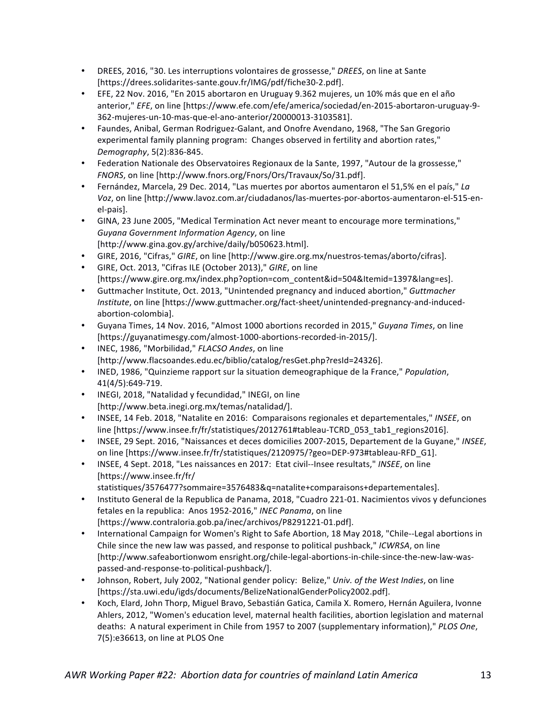- DREES, 2016, "30. Les interruptions volontaires de grossesse," *DREES*, on line at Sante [https://drees.solidarites-sante.gouv.fr/IMG/pdf/fiche30-2.pdf].
- EFE, 22 Nov. 2016, "En 2015 abortaron en Uruguay 9.362 mujeres, un 10% más que en el año anterior," *EFE*, on line [https://www.efe.com/efe/america/sociedad/en-2015-abortaron-uruguay-9-362-mujeres-un-10-mas-que-el-ano-anterior/20000013-3103581].
- Faundes, Anibal, German Rodriguez-Galant, and Onofre Avendano, 1968, "The San Gregorio experimental family planning program: Changes observed in fertility and abortion rates," *Demography*, 5(2):836-845.
- Federation Nationale des Observatoires Regionaux de la Sante, 1997, "Autour de la grossesse," *FNORS*, on line [http://www.fnors.org/Fnors/Ors/Travaux/So/31.pdf].
- Fernández, Marcela, 29 Dec. 2014, "Las muertes por abortos aumentaron el 51,5% en el país," La *Voz*, on line [http://www.lavoz.com.ar/ciudadanos/las-muertes-por-abortos-aumentaron-el-515-enel-pais].
- GINA, 23 June 2005, "Medical Termination Act never meant to encourage more terminations," Guyana Government Information Agency, on line [http://www.gina.gov.gy/archive/daily/b050623.html].
- GIRE, 2016, "Cifras," GIRE, on line [http://www.gire.org.mx/nuestros-temas/aborto/cifras].
- GIRE, Oct. 2013, "Cifras ILE (October 2013)," GIRE, on line [https://www.gire.org.mx/index.php?option=com\_content&id=504&Itemid=1397&lang=es].
- Guttmacher Institute, Oct. 2013, "Unintended pregnancy and induced abortion," *Guttmacher Institute*, on line [https://www.guttmacher.org/fact-sheet/unintended-pregnancy-and-inducedabortion-colombia].
- Guyana Times, 14 Nov. 2016, "Almost 1000 abortions recorded in 2015," *Guyana Times*, on line [https://guyanatimesgy.com/almost-1000-abortions-recorded-in-2015/].
- INEC, 1986, "Morbilidad," *FLACSO Andes*, on line [http://www.flacsoandes.edu.ec/biblio/catalog/resGet.php?resId=24326].
- INED, 1986, "Quinzieme rapport sur la situation demeographique de la France," *Population*, 41(4/5):649-719.
- INEGI, 2018, "Natalidad y fecundidad," INEGI, on line [http://www.beta.inegi.org.mx/temas/natalidad/].
- INSEE, 14 Feb. 2018, "Natalite en 2016: Comparaisons regionales et departementales," *INSEE*, on line [https://www.insee.fr/fr/statistiques/2012761#tableau-TCRD\_053\_tab1\_regions2016].
- INSEE, 29 Sept. 2016, "Naissances et deces domicilies 2007-2015, Departement de la Guyane," INSEE, on line [https://www.insee.fr/fr/statistiques/2120975/?geo=DEP-973#tableau-RFD\_G1].
- INSEE, 4 Sept. 2018, "Les naissances en 2017: Etat civil--Insee resultats," INSEE, on line [https://www.insee.fr/fr/
	- statistiques/3576477?sommaire=3576483&q=natalite+comparaisons+departementales].
- Instituto General de la Republica de Panama, 2018, "Cuadro 221-01. Nacimientos vivos y defunciones fetales en la republica: Anos 1952-2016," INEC Panama, on line [https://www.contraloria.gob.pa/inec/archivos/P8291221-01.pdf].
- International Campaign for Women's Right to Safe Abortion, 18 May 2018, "Chile--Legal abortions in Chile since the new law was passed, and response to political pushback," *ICWRSA*, on line [http://www.safeabortionwom ensright.org/chile-legal-abortions-in-chile-since-the-new-law-waspassed-and-response-to-political-pushback/].
- Johnson, Robert, July 2002, "National gender policy: Belize," Univ. of the West Indies, on line [https://sta.uwi.edu/igds/documents/BelizeNationalGenderPolicy2002.pdf].
- Koch, Elard, John Thorp, Miguel Bravo, Sebastián Gatica, Camila X. Romero, Hernán Aguilera, Ivonne Ahlers, 2012, "Women's education level, maternal health facilities, abortion legislation and maternal deaths: A natural experiment in Chile from 1957 to 2007 (supplementary information)," PLOS One, 7(5):e36613, on line at PLOS One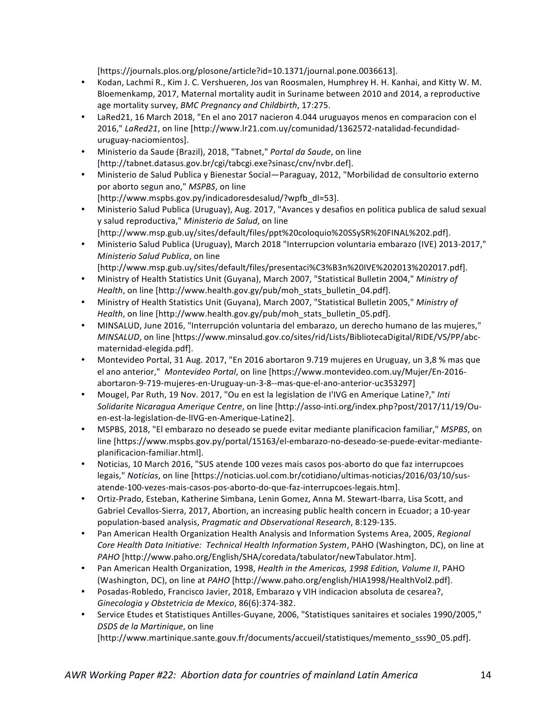[https://journals.plos.org/plosone/article?id=10.1371/journal.pone.0036613].

- Kodan, Lachmi R., Kim J. C. Vershueren, Jos van Roosmalen, Humphrey H. H. Kanhai, and Kitty W. M. Bloemenkamp, 2017, Maternal mortality audit in Suriname between 2010 and 2014, a reproductive age mortality survey, *BMC Pregnancy and Childbirth*, 17:275.
- LaRed21, 16 March 2018, "En el ano 2017 nacieron 4.044 uruguayos menos en comparacion con el 2016," LaRed21, on line [http://www.lr21.com.uy/comunidad/1362572-natalidad-fecundidaduruguay-naciomientos].
- Ministerio da Saude (Brazil), 2018, "Tabnet," *Portal da Saude*, on line [http://tabnet.datasus.gov.br/cgi/tabcgi.exe?sinasc/cnv/nvbr.def].
- Ministerio de Salud Publica y Bienestar Social—Paraguay, 2012, "Morbilidad de consultorio externo por aborto segun ano," MSPBS, on line [http://www.mspbs.gov.py/indicadoresdesalud/?wpfb\_dl=53].
- Ministerio Salud Publica (Uruguay), Aug. 2017, "Avances y desafios en politica publica de salud sexual y salud reproductiva," Ministerio de Salud, on line [http://www.msp.gub.uy/sites/default/files/ppt%20coloquio%20SSySR%20FINAL%202.pdf].
- Ministerio Salud Publica (Uruguay), March 2018 "Interrupcion voluntaria embarazo (IVE) 2013-2017," *Ministerio Salud Publica*, on line
- [http://www.msp.gub.uy/sites/default/files/presentaci%C3%B3n%20IVE%202013%202017.pdf].
- Ministry of Health Statistics Unit (Guyana), March 2007, "Statistical Bulletin 2004," Ministry of *Health*, on line [http://www.health.gov.gy/pub/moh\_stats\_bulletin\_04.pdf].
- Ministry of Health Statistics Unit (Guyana), March 2007, "Statistical Bulletin 2005," Ministry of *Health*, on line [http://www.health.gov.gy/pub/moh\_stats\_bulletin\_05.pdf].
- MINSALUD, June 2016, "Interrupción voluntaria del embarazo, un derecho humano de las mujeres," *MINSALUD*, on line [https://www.minsalud.gov.co/sites/rid/Lists/BibliotecaDigital/RIDE/VS/PP/abcmaternidad-elegida.pdf].
- Montevideo Portal, 31 Aug. 2017, "En 2016 abortaron 9.719 mujeres en Uruguay, un 3,8 % mas que el ano anterior," Montevideo Portal, on line [https://www.montevideo.com.uy/Mujer/En-2016abortaron-9-719-mujeres-en-Uruguay-un-3-8--mas-que-el-ano-anterior-uc353297]
- Mougel, Par Ruth, 19 Nov. 2017, "Ou en est la legislation de l'IVG en Amerique Latine?," Inti *Solidarite Nicaragua Amerique Centre*, on line [http://asso-inti.org/index.php?post/2017/11/19/Ouen-est-la-legislation-de-lIVG-en-Amerique-Latine2].
- MSPBS, 2018, "El embarazo no deseado se puede evitar mediante planificacion familiar," MSPBS, on line [https://www.mspbs.gov.py/portal/15163/el-embarazo-no-deseado-se-puede-evitar-medianteplanificacion-familiar.html].
- Noticias, 10 March 2016, "SUS atende 100 vezes mais casos pos-aborto do que faz interrupcoes legais," *Noticias*, on line [https://noticias.uol.com.br/cotidiano/ultimas-noticias/2016/03/10/susatende-100-vezes-mais-casos-pos-aborto-do-que-faz-interrupcoes-legais.htm].
- Ortiz-Prado, Esteban, Katherine Simbana, Lenin Gomez, Anna M. Stewart-Ibarra, Lisa Scott, and Gabriel Cevallos-Sierra, 2017, Abortion, an increasing public health concern in Ecuador; a 10-year population-based analysis, *Pragmatic and Observational Research*, 8:129-135.
- Pan American Health Organization Health Analysis and Information Systems Area, 2005, *Regional* Core Health Data Initiative: Technical Health Information System, PAHO (Washington, DC), on line at *PAHO* [http://www.paho.org/English/SHA/coredata/tabulator/newTabulator.htm].
- Pan American Health Organization, 1998, *Health in the Americas, 1998 Edition, Volume II*, PAHO (Washington, DC), on line at *PAHO* [http://www.paho.org/english/HIA1998/HealthVol2.pdf].
- Posadas-Robledo, Francisco Javier, 2018, Embarazo y VIH indicacion absoluta de cesarea?, *Ginecologia y Obstetricia de Mexico*, 86(6):374-382.
- Service Etudes et Statistiques Antilles-Guyane, 2006, "Statistiques sanitaires et sociales 1990/2005," *DSDS de la Martinique*, on line [http://www.martinique.sante.gouv.fr/documents/accueil/statistiques/memento\_sss90\_05.pdf].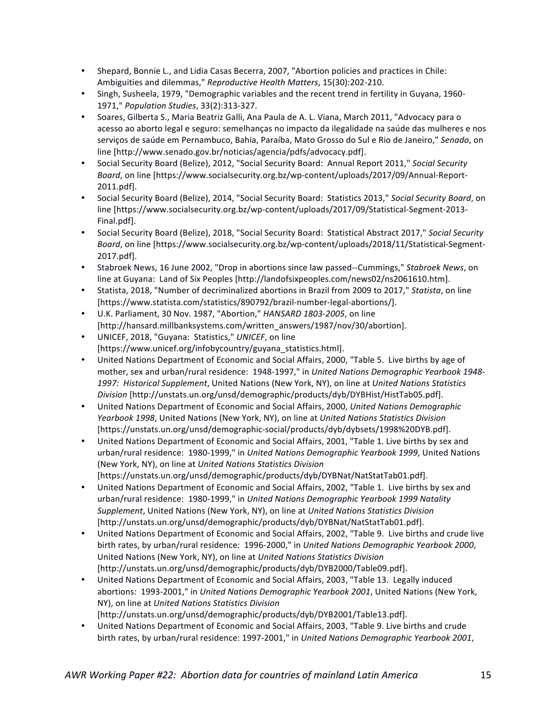- Shepard, Bonnie L., and Lidia Casas Becerra, 2007, "Abortion policies and practices in Chile: Ambiguities and dilemmas," Reproductive Health Matters, 15(30):202-210.
- Singh, Susheela, 1979, "Demographic variables and the recent trend in fertility in Guyana, 1960-1971," *Population Studies*, 33(2):313-327.
- Soares, Gilberta S., Maria Beatriz Galli, Ana Paula de A. L. Viana, March 2011, "Advocacy para o acesso ao aborto legal e seguro: semelhanças no impacto da ilegalidade na saúde das mulheres e nos servicos de saúde em Pernambuco, Bahia, Paraíba, Mato Grosso do Sul e Rio de Janeiro," Senado, on line [http://www.senado.gov.br/noticias/agencia/pdfs/advocacy.pdf].
- Social Security Board (Belize), 2012, "Social Security Board: Annual Report 2011," Social Security Board, on line [https://www.socialsecurity.org.bz/wp-content/uploads/2017/09/Annual-Report-2011.pdf].
- Social Security Board (Belize), 2014, "Social Security Board: Statistics 2013," Social Security Board, on line [https://www.socialsecurity.org.bz/wp-content/uploads/2017/09/Statistical-Segment-2013-Final.pdf].
- Social Security Board (Belize), 2018, "Social Security Board: Statistical Abstract 2017," Social Security Board, on line [https://www.socialsecurity.org.bz/wp-content/uploads/2018/11/Statistical-Segment-2017.pdf].
- Stabroek News, 16 June 2002, "Drop in abortions since law passed--Cummings," Stabroek News, on line at Guyana: Land of Six Peoples [http://landofsixpeoples.com/news02/ns2061610.htm].
- Statista, 2018, "Number of decriminalized abortions in Brazil from 2009 to 2017," *Statista*, on line [https://www.statista.com/statistics/890792/brazil-number-legal-abortions/].
- U.K. Parliament, 30 Nov. 1987, "Abortion," *HANSARD 1803-2005*, on line [http://hansard.millbanksystems.com/written\_answers/1987/nov/30/abortion].
- UNICEF, 2018, "Guyana: Statistics," UNICEF, on line [https://www.unicef.org/infobycountry/guyana\_statistics.html].
- United Nations Department of Economic and Social Affairs, 2000, "Table 5. Live births by age of mother, sex and urban/rural residence: 1948-1997," in *United Nations Demographic Yearbook 1948-*1997: Historical Supplement, United Nations (New York, NY), on line at *United Nations Statistics Division* [http://unstats.un.org/unsd/demographic/products/dyb/DYBHist/HistTab05.pdf].
- United Nations Department of Economic and Social Affairs, 2000, United Nations Demographic *Yearbook 1998*, United Nations (New York, NY), on line at *United Nations Statistics Division* [https://unstats.un.org/unsd/demographic-social/products/dyb/dybsets/1998%20DYB.pdf].
- United Nations Department of Economic and Social Affairs, 2001, "Table 1. Live births by sex and urban/rural residence: 1980-1999," in *United Nations Demographic Yearbook 1999*, United Nations (New York, NY), on line at *United Nations Statistics Division* [https://unstats.un.org/unsd/demographic/products/dyb/DYBNat/NatStatTab01.pdf].
- United Nations Department of Economic and Social Affairs, 2002, "Table 1. Live births by sex and urban/rural residence: 1980-1999," in United Nations Demographic Yearbook 1999 Natality Supplement, United Nations (New York, NY), on line at *United Nations Statistics Division* [http://unstats.un.org/unsd/demographic/products/dyb/DYBNat/NatStatTab01.pdf].
- United Nations Department of Economic and Social Affairs, 2002, "Table 9. Live births and crude live birth rates, by urban/rural residence: 1996-2000," in *United Nations Demographic Yearbook 2000*, United Nations (New York, NY), on line at *United Nations Statistics Division* [http://unstats.un.org/unsd/demographic/products/dyb/DYB2000/Table09.pdf].
- United Nations Department of Economic and Social Affairs, 2003, "Table 13. Legally induced abortions: 1993-2001," in *United Nations Demographic Yearbook 2001*, United Nations (New York, NY), on line at *United Nations Statistics Division* [http://unstats.un.org/unsd/demographic/products/dyb/DYB2001/Table13.pdf].
- United Nations Department of Economic and Social Affairs, 2003, "Table 9. Live births and crude birth rates, by urban/rural residence: 1997-2001," in United Nations Demographic Yearbook 2001,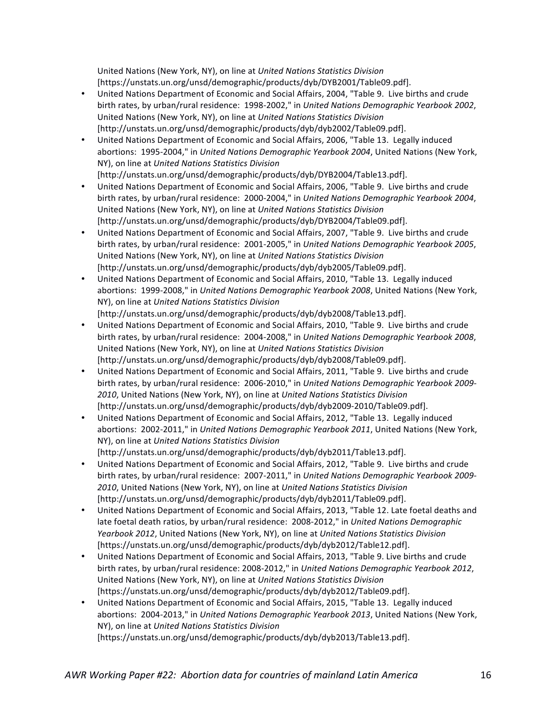United Nations (New York, NY), on line at *United Nations Statistics Division* [https://unstats.un.org/unsd/demographic/products/dyb/DYB2001/Table09.pdf].

- United Nations Department of Economic and Social Affairs, 2004, "Table 9. Live births and crude birth rates, by urban/rural residence: 1998-2002," in *United Nations Demographic Yearbook 2002*, United Nations (New York, NY), on line at *United Nations Statistics Division* [http://unstats.un.org/unsd/demographic/products/dyb/dyb2002/Table09.pdf].
- United Nations Department of Economic and Social Affairs, 2006, "Table 13. Legally induced abortions: 1995-2004," in *United Nations Demographic Yearbook 2004*, United Nations (New York, NY), on line at *United Nations Statistics Division* [http://unstats.un.org/unsd/demographic/products/dyb/DYB2004/Table13.pdf].
- United Nations Department of Economic and Social Affairs, 2006, "Table 9. Live births and crude birth rates, by urban/rural residence: 2000-2004," in *United Nations Demographic Yearbook 2004*, United Nations (New York, NY), on line at *United Nations Statistics Division* [http://unstats.un.org/unsd/demographic/products/dyb/DYB2004/Table09.pdf].
- United Nations Department of Economic and Social Affairs, 2007, "Table 9. Live births and crude birth rates, by urban/rural residence: 2001-2005," in *United Nations Demographic Yearbook 2005*, United Nations (New York, NY), on line at *United Nations Statistics Division* [http://unstats.un.org/unsd/demographic/products/dyb/dyb2005/Table09.pdf].
- United Nations Department of Economic and Social Affairs, 2010, "Table 13. Legally induced abortions: 1999-2008," in *United Nations Demographic Yearbook 2008*, United Nations (New York, NY), on line at *United Nations Statistics Division* [http://unstats.un.org/unsd/demographic/products/dyb/dyb2008/Table13.pdf].
- United Nations Department of Economic and Social Affairs, 2010, "Table 9. Live births and crude birth rates, by urban/rural residence: 2004-2008," in *United Nations Demographic Yearbook 2008*, United Nations (New York, NY), on line at *United Nations Statistics Division* [http://unstats.un.org/unsd/demographic/products/dyb/dyb2008/Table09.pdf].
- United Nations Department of Economic and Social Affairs, 2011, "Table 9. Live births and crude birth rates, by urban/rural residence: 2006-2010," in *United Nations Demographic Yearbook 2009-*2010, United Nations (New York, NY), on line at *United Nations Statistics Division* [http://unstats.un.org/unsd/demographic/products/dyb/dyb2009-2010/Table09.pdf].
- United Nations Department of Economic and Social Affairs, 2012, "Table 13. Legally induced abortions: 2002-2011," in *United Nations Demographic Yearbook 2011*, United Nations (New York, NY), on line at *United Nations Statistics Division* [http://unstats.un.org/unsd/demographic/products/dyb/dyb2011/Table13.pdf].
- United Nations Department of Economic and Social Affairs, 2012, "Table 9. Live births and crude birth rates, by urban/rural residence: 2007-2011," in *United Nations Demographic Yearbook 2009-*2010, United Nations (New York, NY), on line at *United Nations Statistics Division* [http://unstats.un.org/unsd/demographic/products/dyb/dyb2011/Table09.pdf].
- United Nations Department of Economic and Social Affairs, 2013, "Table 12. Late foetal deaths and late foetal death ratios, by urban/rural residence: 2008-2012," in *United Nations Demographic* Yearbook 2012, United Nations (New York, NY), on line at *United Nations Statistics Division* [https://unstats.un.org/unsd/demographic/products/dyb/dyb2012/Table12.pdf].
- United Nations Department of Economic and Social Affairs, 2013, "Table 9. Live births and crude birth rates, by urban/rural residence: 2008-2012," in *United Nations Demographic Yearbook 2012*, United Nations (New York, NY), on line at *United Nations Statistics Division* [https://unstats.un.org/unsd/demographic/products/dyb/dyb2012/Table09.pdf].
- United Nations Department of Economic and Social Affairs, 2015, "Table 13. Legally induced abortions: 2004-2013," in *United Nations Demographic Yearbook 2013*, United Nations (New York, NY), on line at *United Nations Statistics Division* [https://unstats.un.org/unsd/demographic/products/dyb/dyb2013/Table13.pdf].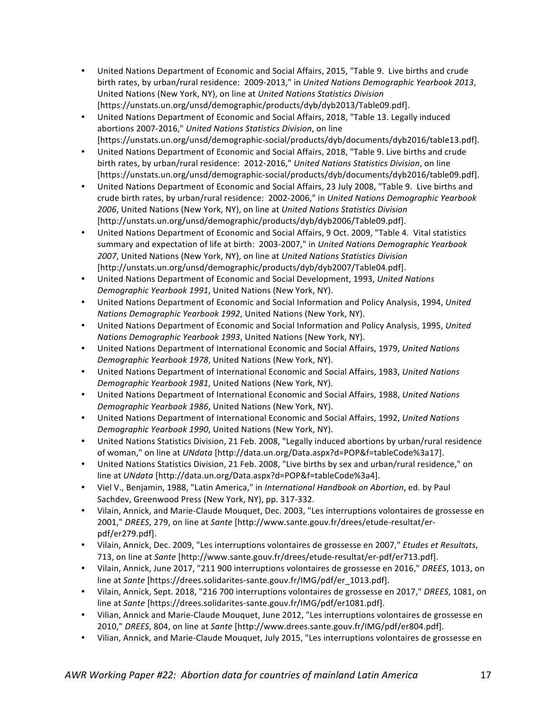- United Nations Department of Economic and Social Affairs, 2015, "Table 9. Live births and crude birth rates, by urban/rural residence: 2009-2013," in *United Nations Demographic Yearbook 2013*, United Nations (New York, NY), on line at *United Nations Statistics Division* [https://unstats.un.org/unsd/demographic/products/dyb/dyb2013/Table09.pdf].
- United Nations Department of Economic and Social Affairs, 2018, "Table 13. Legally induced abortions 2007-2016," United Nations Statistics Division, on line [https://unstats.un.org/unsd/demographic-social/products/dyb/documents/dyb2016/table13.pdf].
- United Nations Department of Economic and Social Affairs, 2018, "Table 9. Live births and crude birth rates, by urban/rural residence: 2012-2016," United Nations Statistics Division, on line [https://unstats.un.org/unsd/demographic-social/products/dyb/documents/dyb2016/table09.pdf].
- United Nations Department of Economic and Social Affairs, 23 July 2008, "Table 9. Live births and crude birth rates, by urban/rural residence: 2002-2006," in *United Nations Demographic Yearbook* 2006, United Nations (New York, NY), on line at *United Nations Statistics Division* [http://unstats.un.org/unsd/demographic/products/dyb/dyb2006/Table09.pdf].
- United Nations Department of Economic and Social Affairs, 9 Oct. 2009, "Table 4. Vital statistics summary and expectation of life at birth: 2003-2007," in *United Nations Demographic Yearbook* 2007, United Nations (New York, NY), on line at *United Nations Statistics Division* [http://unstats.un.org/unsd/demographic/products/dyb/dyb2007/Table04.pdf].
- United Nations Department of Economic and Social Development, 1993, *United Nations Demographic Yearbook 1991*, United Nations (New York, NY).
- United Nations Department of Economic and Social Information and Policy Analysis, 1994, United *Nations Demographic Yearbook 1992*, United Nations (New York, NY).
- United Nations Department of Economic and Social Information and Policy Analysis, 1995, United *Nations Demographic Yearbook 1993*, United Nations (New York, NY).
- United Nations Department of International Economic and Social Affairs, 1979, United Nations *Demographic Yearbook 1978*, United Nations (New York, NY).
- United Nations Department of International Economic and Social Affairs, 1983, United Nations *Demographic Yearbook 1981*, United Nations (New York, NY).
- United Nations Department of International Economic and Social Affairs, 1988, United Nations *Demographic Yearbook 1986*, United Nations (New York, NY).
- United Nations Department of International Economic and Social Affairs, 1992, United Nations *Demographic Yearbook 1990*, United Nations (New York, NY).
- United Nations Statistics Division, 21 Feb. 2008, "Legally induced abortions by urban/rural residence of woman," on line at *UNdata* [http://data.un.org/Data.aspx?d=POP&f=tableCode%3a17].
- United Nations Statistics Division, 21 Feb. 2008, "Live births by sex and urban/rural residence," on line at *UNdata* [http://data.un.org/Data.aspx?d=POP&f=tableCode%3a4].
- Viel V., Benjamin, 1988, "Latin America," in *International Handbook on Abortion*, ed. by Paul Sachdev, Greenwood Press (New York, NY), pp. 317-332.
- Vilain, Annick, and Marie-Claude Mouquet, Dec. 2003, "Les interruptions volontaires de grossesse en 2001," *DREES*, 279, on line at *Sante* [http://www.sante.gouv.fr/drees/etude-resultat/erpdf/er279.pdf].
- Vilain, Annick, Dec. 2009, "Les interruptions volontaires de grossesse en 2007," Etudes et Resultats, 713, on line at *Sante* [http://www.sante.gouv.fr/drees/etude-resultat/er-pdf/er713.pdf].
- Vilain, Annick, June 2017, "211 900 interruptions volontaires de grossesse en 2016," *DREES*, 1013, on line at *Sante* [https://drees.solidarites-sante.gouv.fr/IMG/pdf/er\_1013.pdf].
- Vilain, Annick, Sept. 2018, "216 700 interruptions volontaires de grossesse en 2017," *DREES*, 1081, on line at *Sante* [https://drees.solidarites-sante.gouv.fr/IMG/pdf/er1081.pdf].
- Vilian, Annick and Marie-Claude Mouquet, June 2012, "Les interruptions volontaires de grossesse en 2010," *DREES*, 804, on line at *Sante* [http://www.drees.sante.gouv.fr/IMG/pdf/er804.pdf].
- Vilian, Annick, and Marie-Claude Mouquet, July 2015, "Les interruptions volontaires de grossesse en